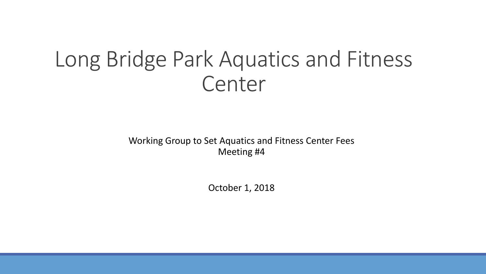## Long Bridge Park Aquatics and Fitness Center

Working Group to Set Aquatics and Fitness Center Fees Meeting #4

October 1, 2018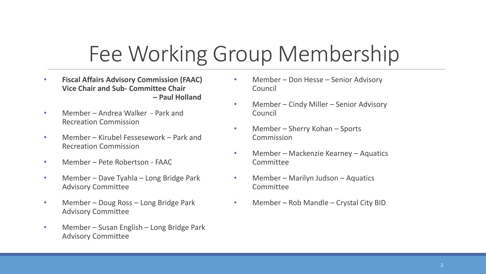# Fee Working Group Membership

- **Fiscal Affairs Advisory Commission (FAAC) Vice Chair and Sub- Committee Chair – Paul Holland**
- Member Andrea Walker Park and Recreation Commission
- Member Kirubel Fessesework Park and Recreation Commission
- Member Pete Robertson FAAC
- Member Dave Tyahla Long Bridge Park Advisory Committee
- Member Doug Ross Long Bridge Park Advisory Committee
- Member Susan English Long Bridge Park Advisory Committee
- Member Don Hesse Senior Advisory Council
- Member Cindy Miller Senior Advisory Council
- Member Sherry Kohan Sports **Commission**
- Member Mackenzie Kearney Aquatics **Committee**
- Member Marilyn Judson Aquatics Committee
- Member Rob Mandle Crystal City BID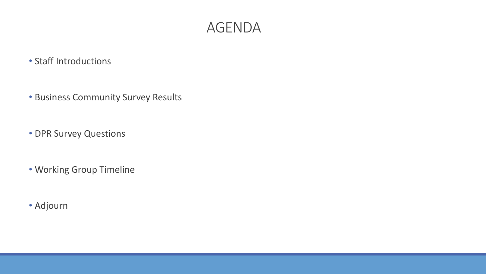### AGENDA

### • Staff Introductions

- Business Community Survey Results
- DPR Survey Questions
- Working Group Timeline
- Adjourn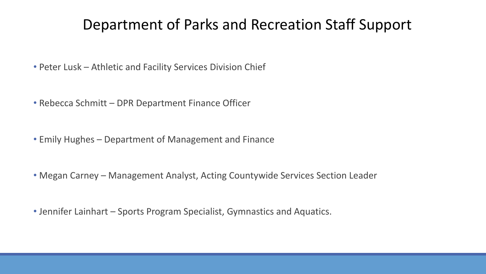## Department of Parks and Recreation Staff Support

- Peter Lusk Athletic and Facility Services Division Chief
- Rebecca Schmitt DPR Department Finance Officer
- Emily Hughes Department of Management and Finance
- Megan Carney Management Analyst, Acting Countywide Services Section Leader
- Jennifer Lainhart Sports Program Specialist, Gymnastics and Aquatics.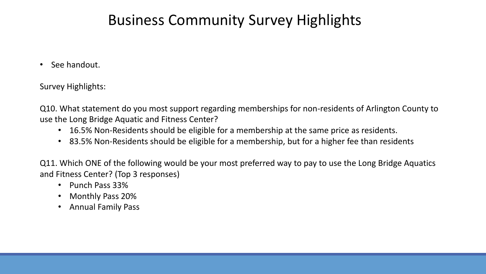## Business Community Survey Highlights

• See handout.

Survey Highlights:

Q10. What statement do you most support regarding memberships for non-residents of Arlington County to use the Long Bridge Aquatic and Fitness Center?

- 16.5% Non-Residents should be eligible for a membership at the same price as residents.
- 83.5% Non-Residents should be eligible for a membership, but for a higher fee than residents

Q11. Which ONE of the following would be your most preferred way to pay to use the Long Bridge Aquatics and Fitness Center? (Top 3 responses)

- Punch Pass 33%
- Monthly Pass 20%
- Annual Family Pass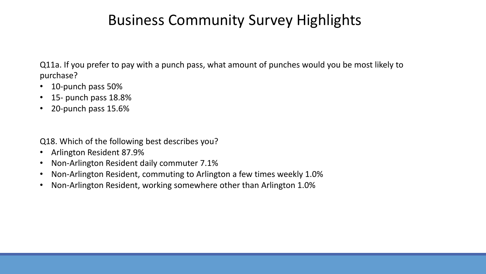## Business Community Survey Highlights

Q11a. If you prefer to pay with a punch pass, what amount of punches would you be most likely to purchase?

- 10-punch pass 50%
- 15- punch pass 18.8%
- 20-punch pass 15.6%

Q18. Which of the following best describes you?

- Arlington Resident 87.9%
- Non-Arlington Resident daily commuter 7.1%
- Non-Arlington Resident, commuting to Arlington a few times weekly 1.0%
- Non-Arlington Resident, working somewhere other than Arlington 1.0%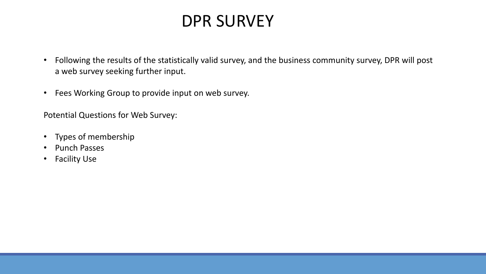## DPR SURVEY

- Following the results of the statistically valid survey, and the business community survey, DPR will post a web survey seeking further input.
- Fees Working Group to provide input on web survey.

Potential Questions for Web Survey:

- Types of membership
- Punch Passes
- Facility Use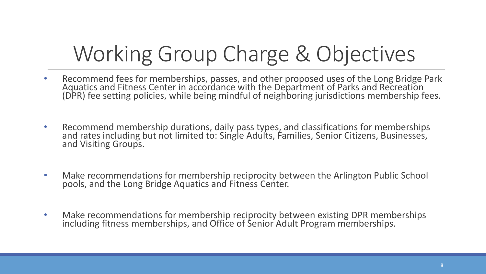# Working Group Charge & Objectives

- Recommend fees for memberships, passes, and other proposed uses of the Long Bridge Park Aquatics and Fitness Center in accordance with the Department of Parks and Recreation (DPR) fee setting policies, while being mindful of neighboring jurisdictions membership fees.
- Recommend membership durations, daily pass types, and classifications for memberships and rates including but not limited to: Single Adults, Families, Senior Citizens, Businesses, and Visiting Groups.
- Make recommendations for membership reciprocity between the Arlington Public School pools, and the Long Bridge Aquatics and Fitness Center.
- Make recommendations for membership reciprocity between existing DPR memberships including fitness memberships, and Office of Senior Adult Program memberships.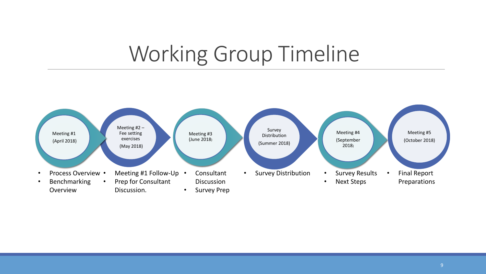# Working Group Timeline

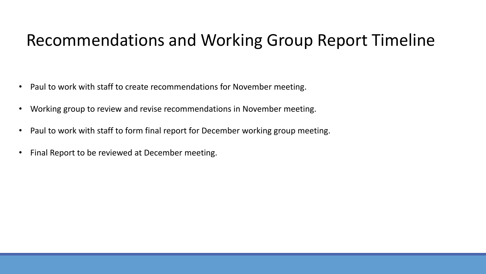## Recommendations and Working Group Report Timeline

- Paul to work with staff to create recommendations for November meeting.
- Working group to review and revise recommendations in November meeting.
- Paul to work with staff to form final report for December working group meeting.
- Final Report to be reviewed at December meeting.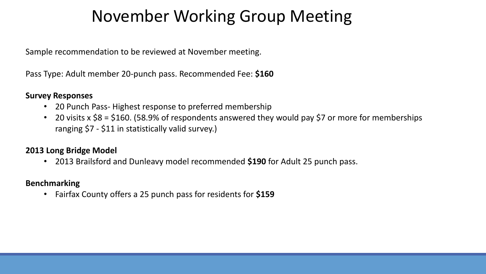## November Working Group Meeting

Sample recommendation to be reviewed at November meeting.

Pass Type: Adult member 20-punch pass. Recommended Fee: **\$160**

#### **Survey Responses**

- 20 Punch Pass- Highest response to preferred membership
- 20 visits x \$8 = \$160. (58.9% of respondents answered they would pay \$7 or more for memberships ranging \$7 - \$11 in statistically valid survey.)

### **2013 Long Bridge Model**

• 2013 Brailsford and Dunleavy model recommended **\$190** for Adult 25 punch pass.

### **Benchmarking**

• Fairfax County offers a 25 punch pass for residents for **\$159**